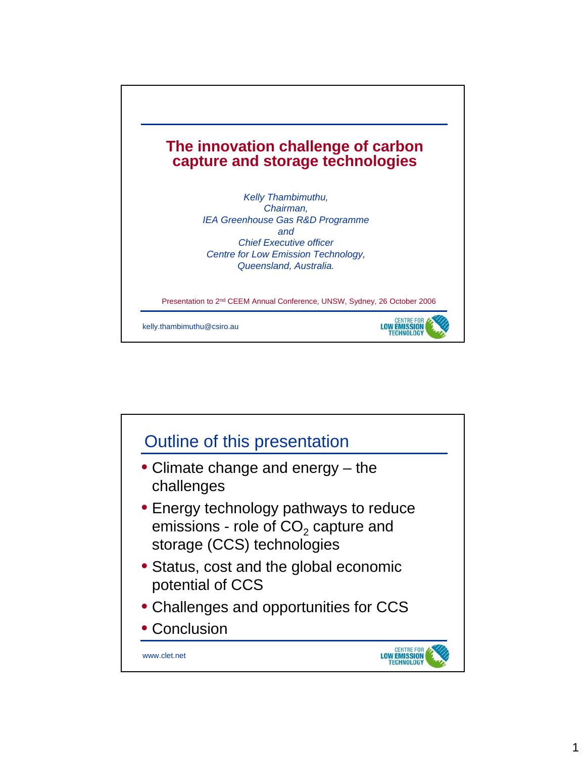

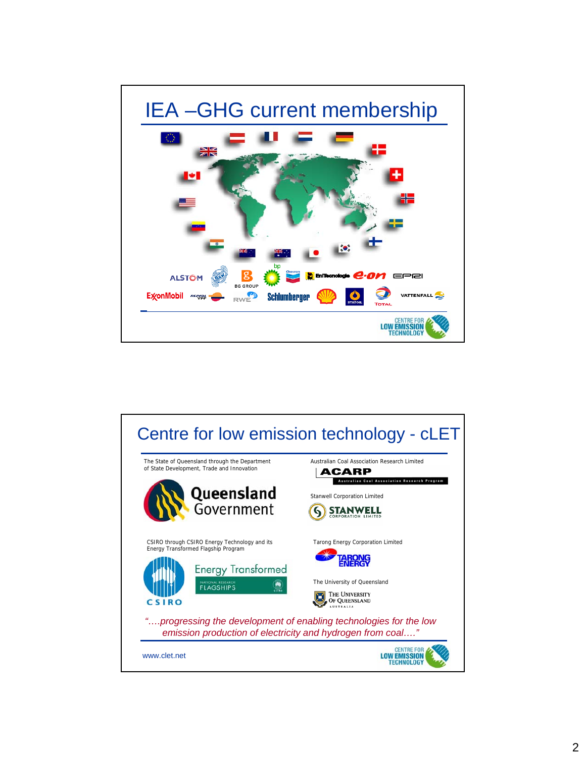

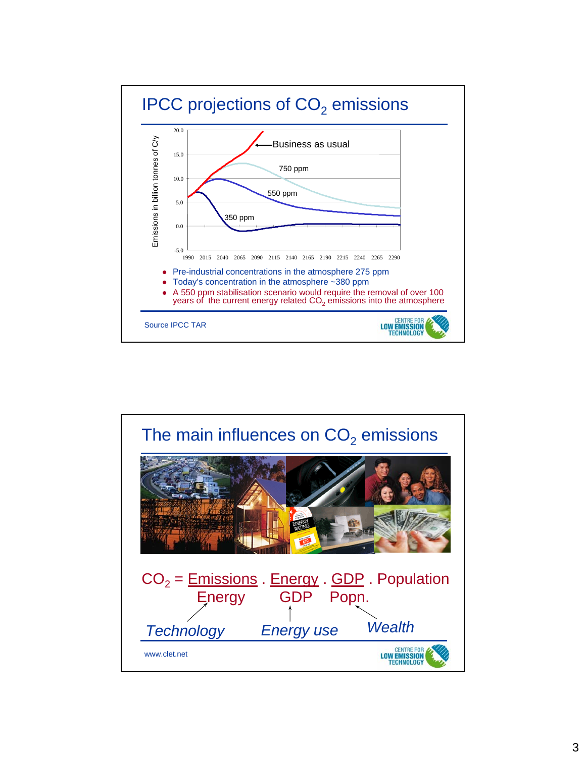

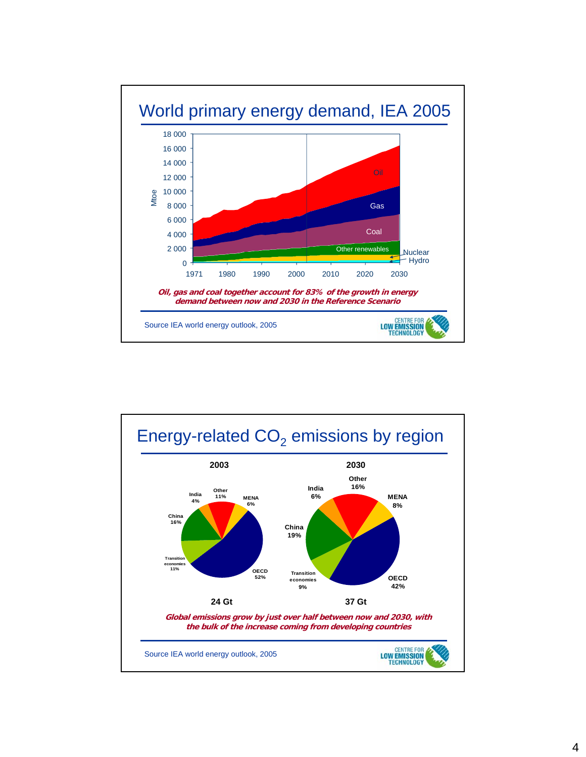

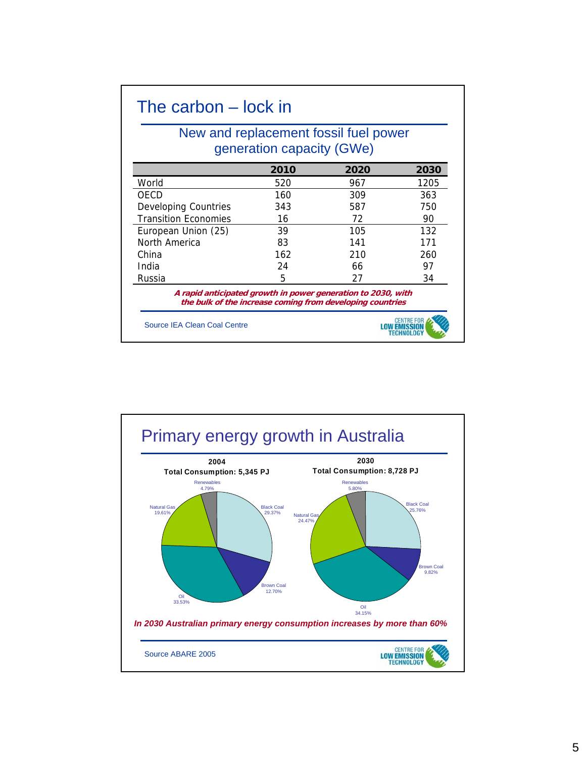## The carbon – lock in

## New and replacement fossil fuel power generation capacity (GWe)

|                                                              | 2010 | 2020                                                      | 2030 |
|--------------------------------------------------------------|------|-----------------------------------------------------------|------|
| World                                                        | 520  | 967                                                       | 1205 |
| <b>OECD</b>                                                  | 160  | 309                                                       | 363  |
| <b>Developing Countries</b>                                  | 343  | 587                                                       | 750  |
| <b>Transition Economies</b>                                  | 16   | 72                                                        | 90   |
| European Union (25)                                          | 39   | 105                                                       | 132  |
| North America                                                | 83   | 141                                                       | 171  |
| China                                                        | 162  | 210                                                       | 260  |
| India                                                        | 24   | 66                                                        | 97   |
| Russia                                                       | 5    | 27                                                        | 34   |
| A rapid anticipated growth in power generation to 2030, with |      | the bulk of the increase coming from developing countries |      |
| Source IFA Clean Coal Centre                                 |      |                                                           |      |

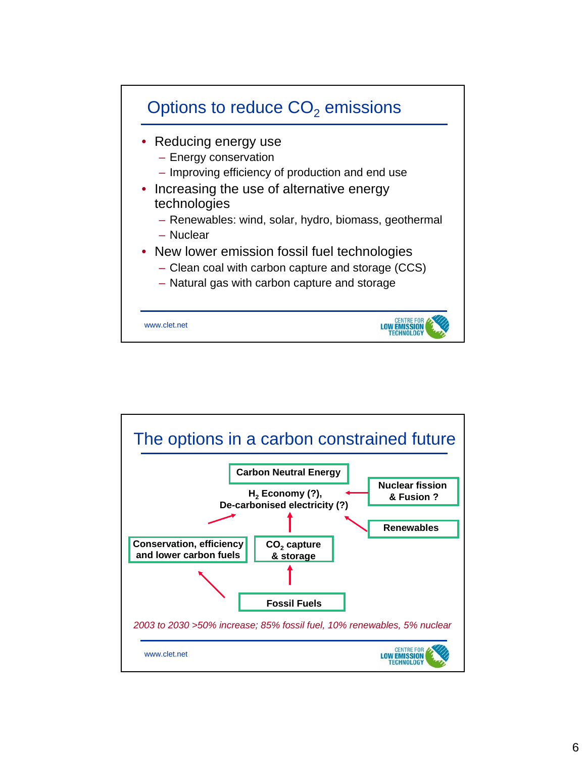

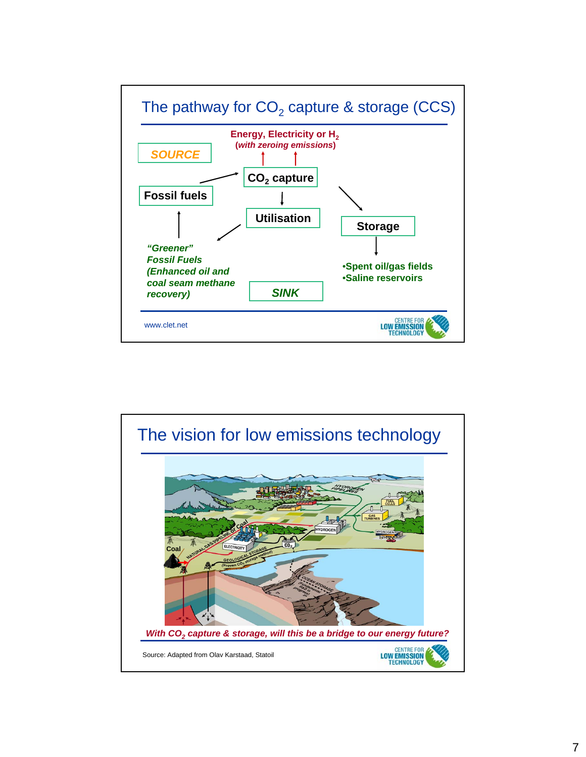

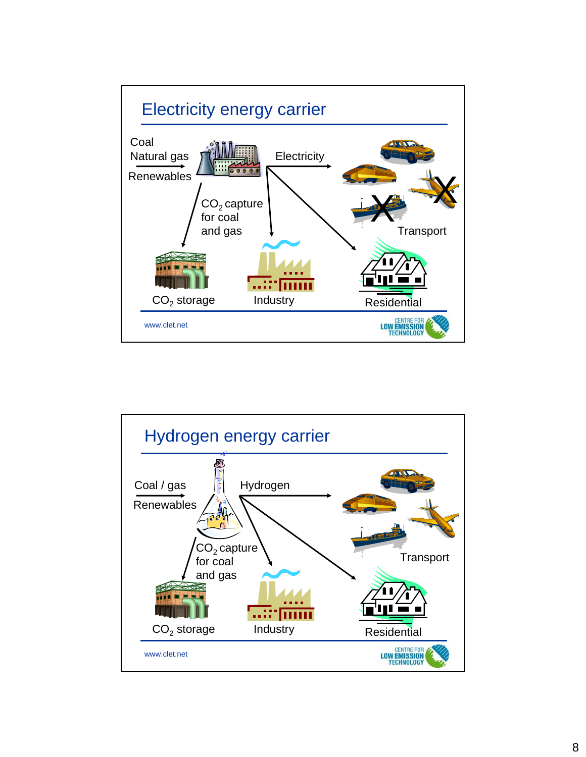

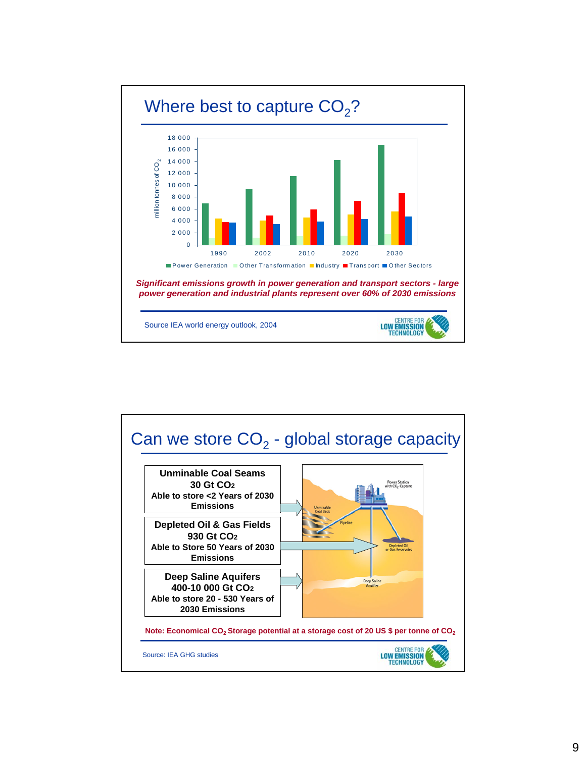

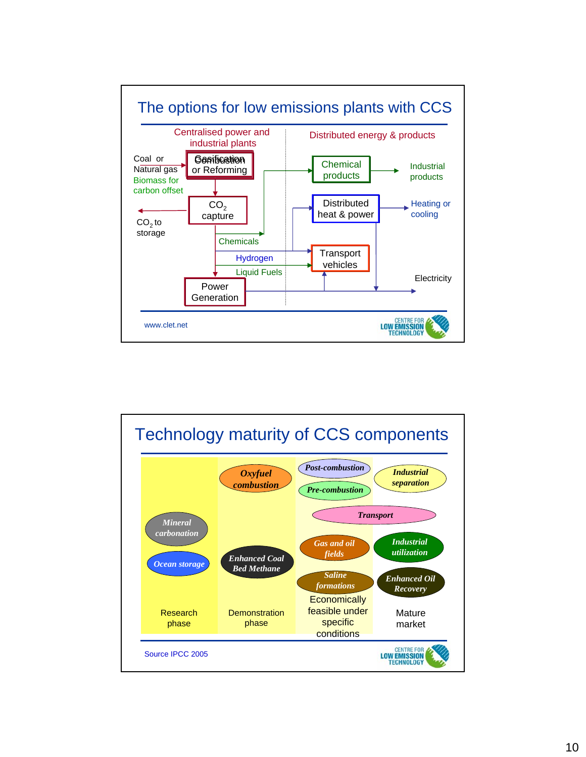

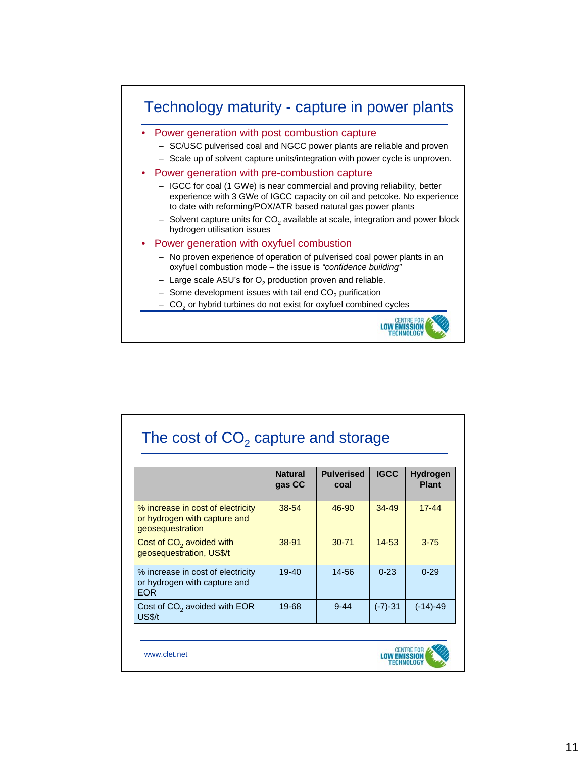

|                                                                                       | <b>Natural</b><br>gas CC | <b>Pulverised</b><br>coal | <b>IGCC</b> | Hydrogen<br><b>Plant</b> |
|---------------------------------------------------------------------------------------|--------------------------|---------------------------|-------------|--------------------------|
| % increase in cost of electricity<br>or hydrogen with capture and<br>geosequestration | 38-54                    | 46-90                     | $34 - 49$   | $17 - 44$                |
| Cost of $CO2$ avoided with<br>geosequestration, US\$/t                                | 38-91                    | 30-71                     | $14 - 53$   | $3 - 75$                 |
| % increase in cost of electricity<br>or hydrogen with capture and<br><b>EOR</b>       | $19 - 40$                | 14-56                     | $0 - 23$    | $0 - 29$                 |
| Cost of CO <sub>2</sub> avoided with EOR<br><b>US\$/t</b>                             | 19-68                    | $9 - 44$                  | $(-7)-31$   | $(-14)-49$               |



www.clet.net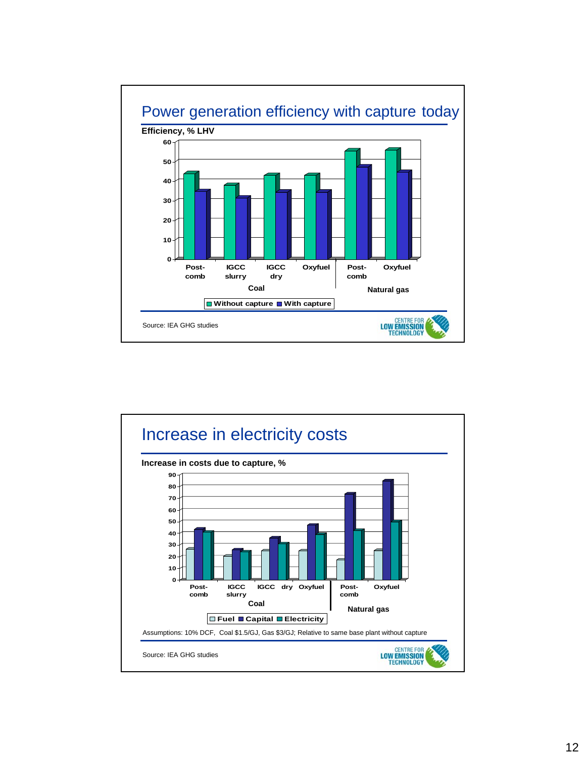

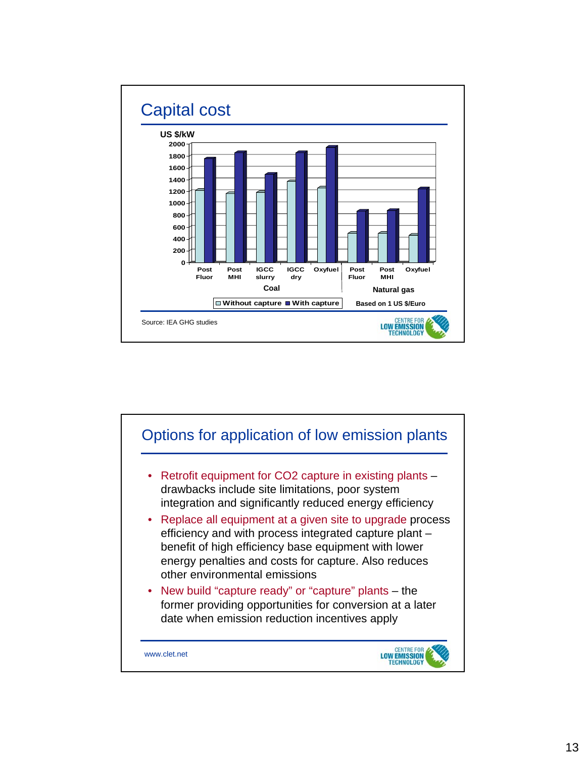

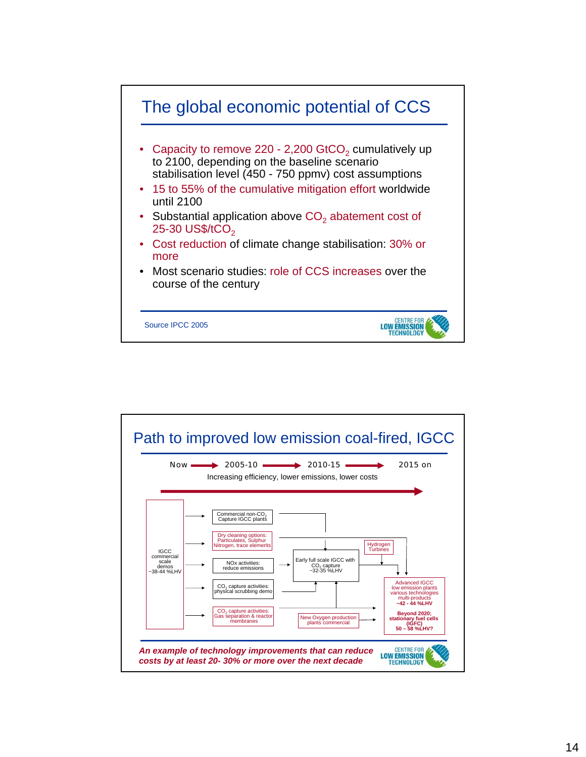

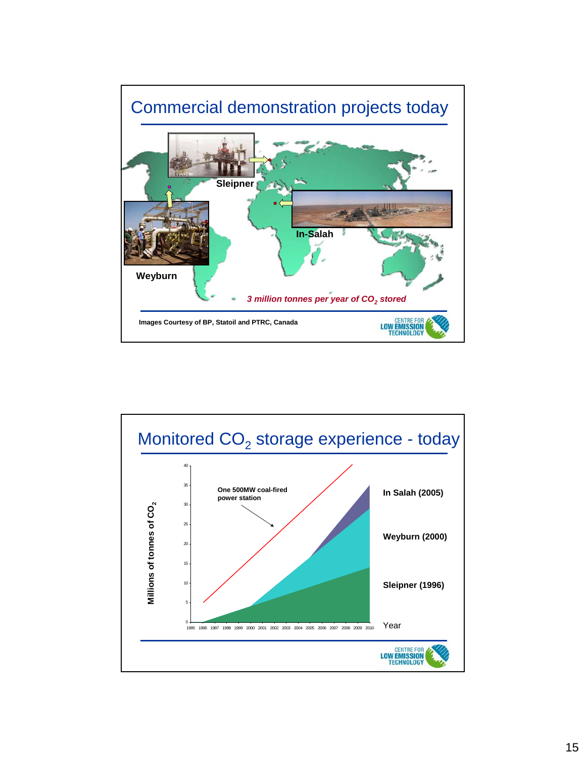

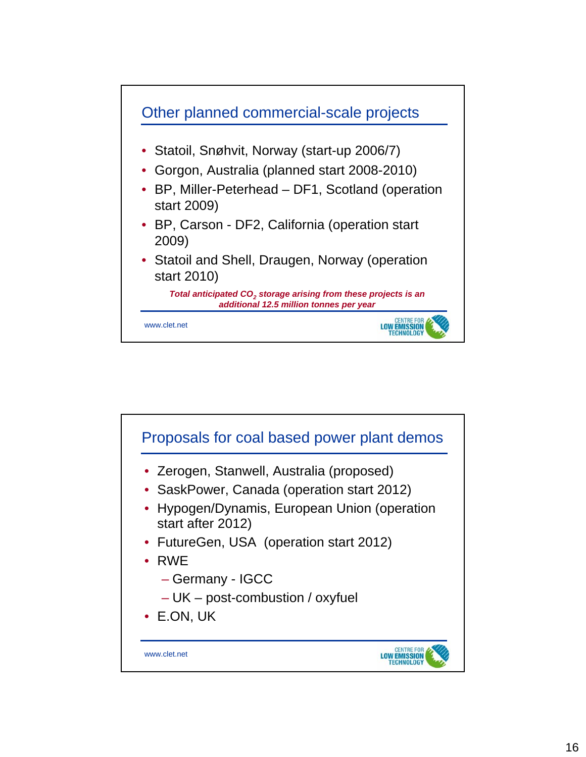

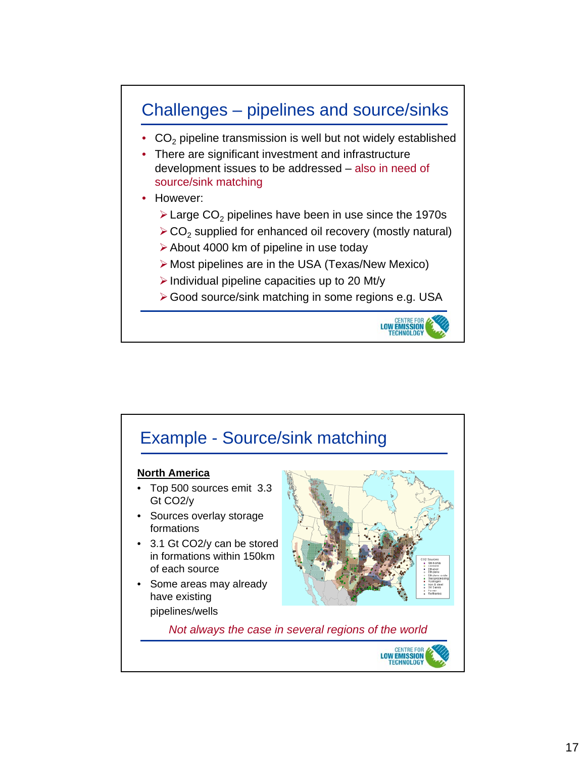

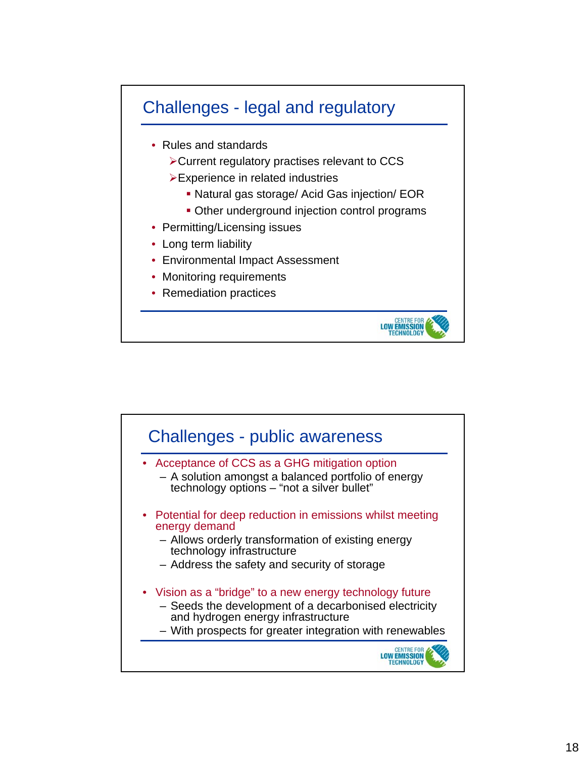

- Rules and standards
	- ¾Current regulatory practises relevant to CCS
	- $\triangleright$  Experience in related industries
		- Natural gas storage/ Acid Gas injection/ EOR
		- Other underground injection control programs

**LOW EMISSION TECHNOLOGY** 

- Permitting/Licensing issues
- Long term liability
- Environmental Impact Assessment
- Monitoring requirements
- Remediation practices